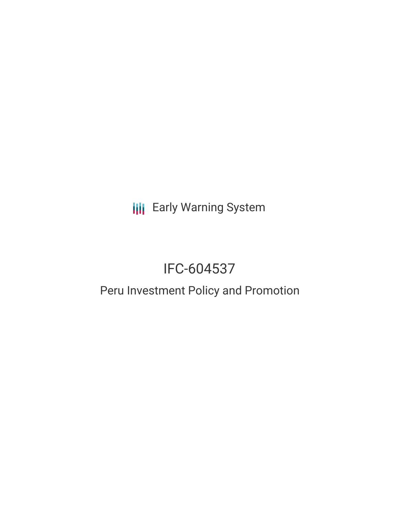# **III** Early Warning System

# IFC-604537

# Peru Investment Policy and Promotion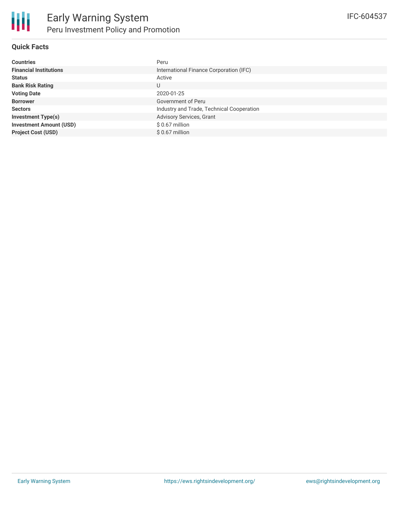

| <b>Countries</b>               | Peru                                      |
|--------------------------------|-------------------------------------------|
| <b>Financial Institutions</b>  | International Finance Corporation (IFC)   |
| <b>Status</b>                  | Active                                    |
| <b>Bank Risk Rating</b>        | U                                         |
| <b>Voting Date</b>             | 2020-01-25                                |
| <b>Borrower</b>                | Government of Peru                        |
| <b>Sectors</b>                 | Industry and Trade, Technical Cooperation |
| <b>Investment Type(s)</b>      | Advisory Services, Grant                  |
| <b>Investment Amount (USD)</b> | $$0.67$ million                           |
| <b>Project Cost (USD)</b>      | $$0.67$ million                           |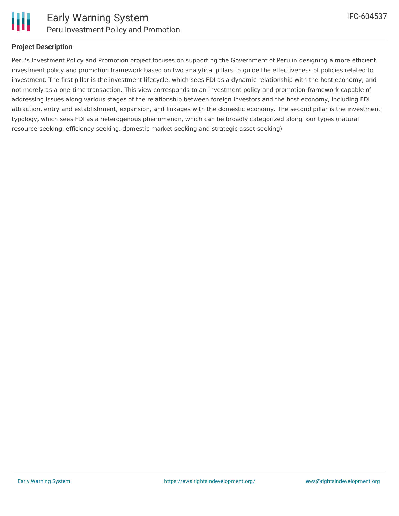

## **Project Description**

Peru's Investment Policy and Promotion project focuses on supporting the Government of Peru in designing a more efficient investment policy and promotion framework based on two analytical pillars to guide the effectiveness of policies related to investment. The first pillar is the investment lifecycle, which sees FDI as a dynamic relationship with the host economy, and not merely as a one-time transaction. This view corresponds to an investment policy and promotion framework capable of addressing issues along various stages of the relationship between foreign investors and the host economy, including FDI attraction, entry and establishment, expansion, and linkages with the domestic economy. The second pillar is the investment typology, which sees FDI as a heterogenous phenomenon, which can be broadly categorized along four types (natural resource-seeking, efficiency-seeking, domestic market-seeking and strategic asset-seeking).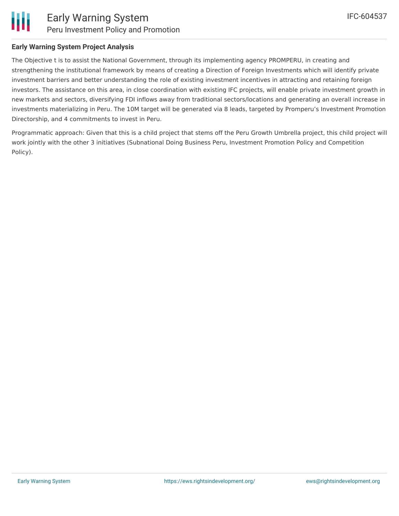

### **Early Warning System Project Analysis**

The Objective t is to assist the National Government, through its implementing agency PROMPERU, in creating and strengthening the institutional framework by means of creating a Direction of Foreign Investments which will identify private investment barriers and better understanding the role of existing investment incentives in attracting and retaining foreign investors. The assistance on this area, in close coordination with existing IFC projects, will enable private investment growth in new markets and sectors, diversifying FDI inflows away from traditional sectors/locations and generating an overall increase in investments materializing in Peru. The 10M target will be generated via 8 leads, targeted by Promperu's Investment Promotion Directorship, and 4 commitments to invest in Peru.

Programmatic approach: Given that this is a child project that stems off the Peru Growth Umbrella project, this child project will work jointly with the other 3 initiatives (Subnational Doing Business Peru, Investment Promotion Policy and Competition Policy).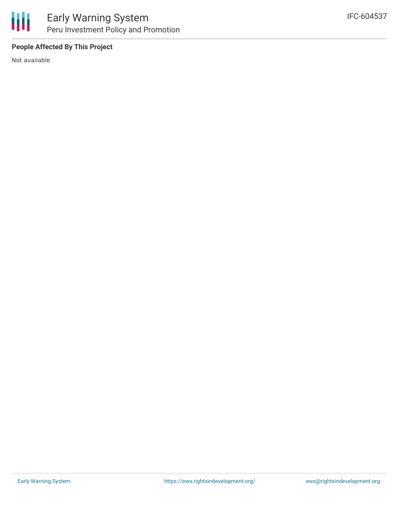

# **People Affected By This Project**

Not available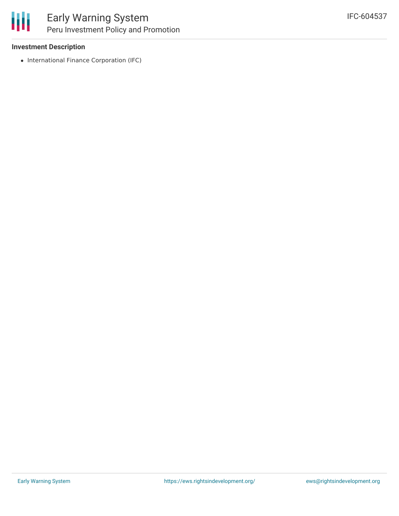

### **Investment Description**

• International Finance Corporation (IFC)